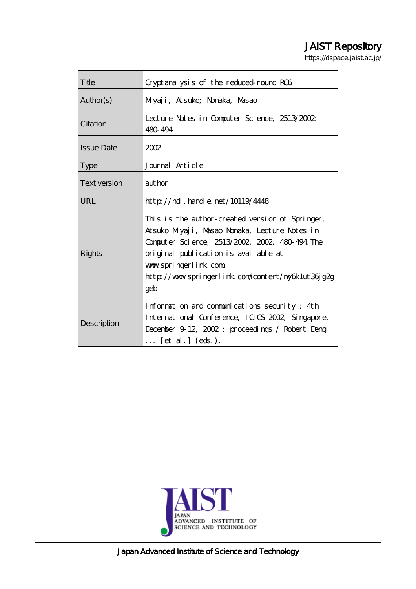# JAIST Repository

https://dspace.jaist.ac.jp/

| Title               | Cryptanalysis of the reduced round RC6                                                                                                                                                                                                                                          |
|---------------------|---------------------------------------------------------------------------------------------------------------------------------------------------------------------------------------------------------------------------------------------------------------------------------|
| Author(s)           | Milyaji, Atsuko; Nonaka, Masao                                                                                                                                                                                                                                                  |
| Citation            | Lecture Notes in Computer Science, 2513/2002<br>480 494                                                                                                                                                                                                                         |
| <b>Issue Date</b>   | 2002                                                                                                                                                                                                                                                                            |
| <b>Type</b>         | Journal Article                                                                                                                                                                                                                                                                 |
| <b>Text version</b> | author                                                                                                                                                                                                                                                                          |
| URL                 | http://hdl.handle.net/10119/4448                                                                                                                                                                                                                                                |
| Rights              | This is the author-created version of Springer,<br>Atsuko Miyaji, Masao Nonaka, Lecture Notes in<br>Computer Science, 2513/2002, 2002, 480-494. The<br>original publication is available at<br>www.springerlink.com<br>http://www.springerlink.com/content/ny6k1ut36jg2g<br>geb |
| Description         | Information and communications security: 4th<br>International Conference, ICICS 2002, Singapore,<br>December 9 12, 2002: proceedings / Robert Deng<br>$\ldots$ [et al.] (eds.).                                                                                                 |



Japan Advanced Institute of Science and Technology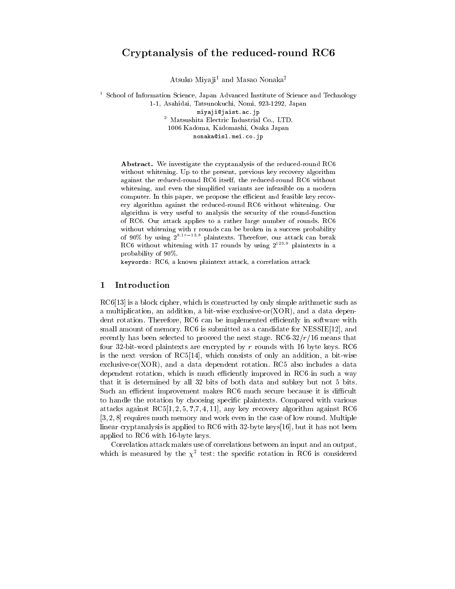# Cryptanalysis of the reduced-round RC6

Atsuko Miyaji<sup>1</sup> and Masao Nonaka<sup>2</sup>

<sup>1</sup> School of Information Science, Japan Advanced Institute of Science and Technology 1-1, Asahidai, Tatsunokuchi, Nomi, 923-1292, Japan miyaji@jaist.ac.jp <sup>2</sup> Matsushita Electric Industrial Co., LTD. 1006 Kadoma, Kadomashi, Osaka Japan nonaka@isl.mei.co.jp

Abstract. We investigate the cryptanalysis of the reduced-round RC6 without whitening. Up to the present, previous key recovery algorithm against the reduced-round RC6 itself, the reduced-round RC6 without whitening, and even the simplified variants are infeasible on a modern computer. In this paper, we propose the efficient and feasible key recovery algorithm against the reduced-round RC6 without whitening. Our algorithm is very useful to analysis the security of the round-function of RC6. Our attack applies to a rather large number of rounds. RC6 without whitening with r rounds can be broken in a success probability of 90% by using  $2^{8.1r-13.8}$  plaintexts. Therefore, our attack can break RC6 without whitening with 17 rounds by using  $2^{123.9}$  plaintexts in a probability of 90%.

keywords: RC6, a known plaintext attack, a correlation attack

#### Introduction 1

RC6[13] is a block cipher, which is constructed by only simple arithmetic such as a multiplication, an addition, a bit-wise exclusive-or  $(XOR)$ , and a data dependent rotation. Therefore, RC6 can be implemented efficiently in software with small amount of memory.  $RC6$  is submitted as a candidate for  $NESSIE[12]$ , and recently has been selected to proceed the next stage.  $RC6-32/r/16$  means that four 32-bit-word plaintexts are encrypted by  $r$  rounds with 16 byte keys. RC6 is the next version of  $RC5[14]$ , which consists of only an addition, a bit-wise exclusive-or(XOR), and a data dependent rotation. RC5 also includes a data dependent rotation, which is much efficiently improved in RC6 in such a way that it is determined by all 32 bits of both data and subkey but not 5 bits. Such an efficient improvement makes RC6 much secure because it is difficult to handle the rotation by choosing specific plaintexts. Compared with various attacks against  $RC5[1, 2, 5, 7, 7, 4, 11]$ , any key recovery algorithm against RC6  $[3, 2, 8]$  requires much memory and work even in the case of low round. Multiple linear cryptanalysis is applied to RC6 with 32-byte keys [16], but it has not been applied to RC6 with 16-byte keys.

Correlation attack makes use of correlations between an input and an output, which is measured by the  $\chi^2$  test: the specific rotation in RC6 is considered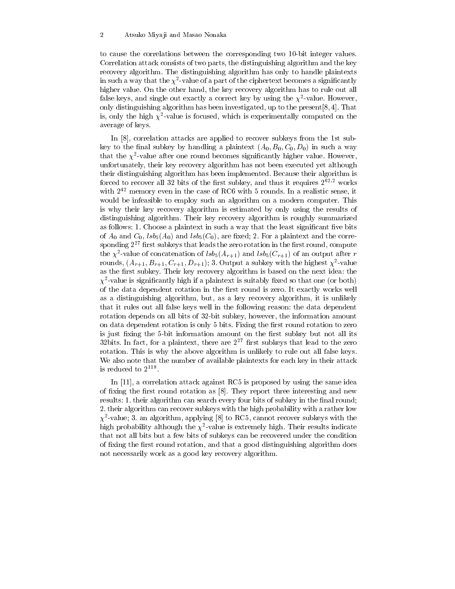to cause the correlations between the corresponding two 10-bit integer values. Correlation attack consists of two parts, the distinguishing algorithm and the key recovery algorithm. The distinguishing algorithm has only to handle plaintexts in such a way that the  $\chi^2$ -value of a part of the ciphertext becomes a significantly higher value. On the other hand, the key recovery algorithm has to rule out all false keys, and single out exactly a correct key by using the  $\chi^2$ -value. However, only distinguishing algorithm has been investigated, up to the present [8, 4]. That is, only the high  $\chi^2$ -value is focused, which is experimentally computed on the average of keys.

In [8], correlation attacks are applied to recover subkeys from the 1st subkey to the final subkey by handling a plaintext  $(A_0, B_0, C_0, D_0)$  in such a way that the  $\chi^2$ -value after one round becomes significantly higher value. However, unfortunately, their key recovery algorithm has not been executed yet although their distinguishing algorithm has been implemented. Because their algorithm is forced to recover all 32 bits of the first subkey, and thus it requires  $2^{\tilde{6}2.2}$  works with  $2^{42}$  memory even in the case of RC6 with 5 rounds. In a realistic sense, it would be infeasible to employ such an algorithm on a modern computer. This is why their key recovery algorithm is estimated by only using the results of distinguishing algorithm. Their key recovery algorithm is roughly summarized as follows: 1. Choose a plaintext in such a way that the least significant five bits of  $A_0$  and  $C_0$ ,  $lsb_5(A_0)$  and  $lsb_5(C_0)$ , are fixed; 2. For a plaintext and the corresponding  $2^{27}$  first subkeys that leads the zero rotation in the first round, compute the  $\chi^2$ -value of concatenation of  $lsb_5(A_{r+1})$  and  $lsb_5(C_{r+1})$  of an output after r rounds,  $(A_{r+1}, B_{r+1}, C_{r+1}, D_{r+1})$ ; 3. Output a subkey with the highest  $\chi^2$ -value as the first subkey. Their key recovery algorithm is based on the next idea: the  $\chi^2$ -value is significantly high if a plaintext is suitably fixed so that one (or both) of the data dependent rotation in the first round is zero. It exactly works well as a distinguishing algorithm, but, as a key recovery algorithm, it is unlikely that it rules out all false keys well in the following reason: the data dependent rotation depends on all bits of 32-bit subkey, however, the information amount on data dependent rotation is only 5 bits. Fixing the first round rotation to zero is just fixing the 5-bit information amount on the first subkey but not all its 32bits. In fact, for a plaintext, there are  $2^{27}$  first subkeys that lead to the zero rotation. This is why the above algorithm is unlikely to rule out all false keys. We also note that the number of available plaintexts for each key in their attack is reduced to  $2^{118}$ .

In [11], a correlation attack against RC5 is proposed by using the same idea of fixing the first round rotation as [8]. They report three interesting and new results: 1. their algorithm can search every four bits of subkey in the final round; 2. their algorithm can recover subkeys with the high probability with a rather low  $\chi^2$ -value; 3. an algorithm, applying [8] to RC5, cannot recover subkeys with the high probability although the  $\chi^2$ -value is extremely high. Their results indicate that not all bits but a few bits of subkeys can be recovered under the condition of fixing the first round rotation, and that a good distinguishing algorithm does not necessarily work as a good key recovery algorithm.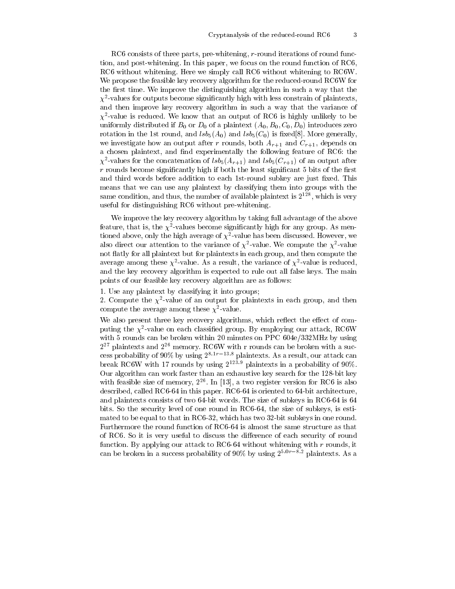RC6 consists of three parts, pre-whitening, r-round iterations of round function, and post-whitening. In this paper, we focus on the round function of RC6, RC6 without whitening. Here we simply call RC6 without whitening to RC6W. We propose the feasible key recovery algorithm for the reduced-round RC6W for the first time. We improve the distinguishing algorithm in such a way that the  $\chi^2$ -values for outputs become significantly high with less constrain of plaintexts. and then improve key recovery algorithm in such a way that the variance of  $\chi^2$ -value is reduced. We know that an output of RC6 is highly unlikely to be uniformly distributed if  $B_0$  or  $D_0$  of a plaintext  $(A_0, B_0, C_0, D_0)$  introduces zero rotation in the 1st round, and  $lsb_5(A_0)$  and  $lsb_5(C_0)$  is fixed[8]. More generally, we investigate how an output after r rounds, both  $A_{r+1}$  and  $C_{r+1}$ , depends on a chosen plaintext, and find experimentally the following feature of RC6: the  $\chi^2$ -values for the concatenation of  $lsb_5(A_{r+1})$  and  $lsb_5(C_{r+1})$  of an output after  $r$  rounds become significantly high if both the least significant 5 bits of the first and third words before addition to each 1st-round subkey are just fixed. This means that we can use any plaintext by classifying them into groups with the same condition, and thus, the number of available plaintext is  $2^{128}$ , which is very useful for distinguishing RC6 without pre-whitening.

We improve the key recovery algorithm by taking full advantage of the above feature, that is, the  $\chi^2$ -values become significantly high for any group. As mentioned above, only the high average of  $\chi^2$ -value has been discussed. However, we also direct our attention to the variance of  $\chi^2$ -value. We compute the  $\chi^2$ -value not flatly for all plaintext but for plaintexts in each group, and then compute the average among these  $\chi^2$ -value. As a result, the variance of  $\chi^2$ -value is reduced, and the key recovery algorithm is expected to rule out all false keys. The main points of our feasible key recovery algorithm are as follows:

1. Use any plaintext by classifying it into groups;

2. Compute the  $\chi^2$ -value of an output for plaintexts in each group, and then compute the average among these  $\chi^2$ -value.

We also present three key recovery algorithms, which reflect the effect of computing the  $\chi^2$ -value on each classified group. By employing our attack, RC6W with 5 rounds can be broken within 20 minutes on PPC 604e/332MHz by using  $2^{27}$  plaintexts and  $2^{26}$  memory. RC6W with r rounds can be broken with a success probability of  $90\%$  by using  $2^{8.1r-13.8}$  plaintexts. As a result, our attack can break RC6W with 17 rounds by using  $2^{123.9}$  plaintexts in a probability of 90%. Our algorithm can work faster than an exhaustive key search for the 128-bit key with feasible size of memory,  $2^{26}$ . In [13], a two register version for RC6 is also described, called RC6-64 in this paper. RC6-64 is oriented to 64-bit architecture, and plaintexts consists of two 64-bit words. The size of subkeys in RC6-64 is 64 bits. So the security level of one round in RC6-64, the size of subkeys, is estimated to be equal to that in RC6-32, which has two 32-bit subkeys in one round. Furthermore the round function of RC6-64 is almost the same structure as that of RC6. So it is very useful to discuss the difference of each security of round function. By applying our attack to RC6-64 without whitening with  $r$  rounds, it can be broken in a success probability of 90% by using  $2^{5.0r-8.2}$  plaintexts. As a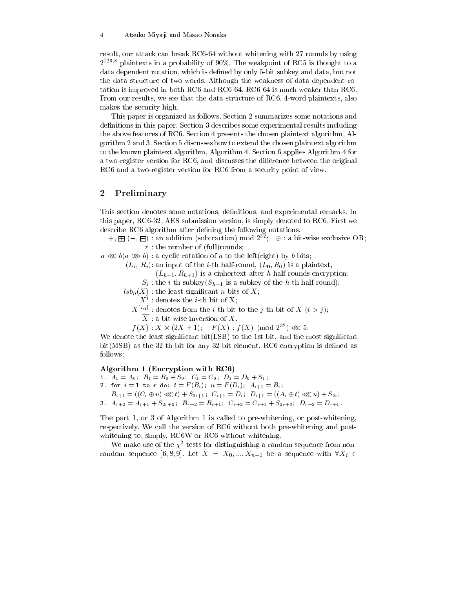result, our attack can break RC6-64 without whitening with 27 rounds by using  $2^{126.8}$  plaintexts in a probability of 90%. The weakpoint of RC5 is thought to a data dependent rotation, which is defined by only 5-bit subkey and data, but not the data structure of two words. Although the weakness of data dependent rotation is improved in both RC6 and RC6-64, RC6-64 is much weaker than RC6. From our results, we see that the data structure of RC6, 4-word plaintexts, also makes the security high.

This paper is organized as follows. Section 2 summarizes some notations and definitions in this paper. Section 3 describes some experimental results including the above features of RC6. Section 4 presents the chosen plaintext algorithm, Algorithm 2 and 3. Section 5 discusses how to extend the chosen plaintext algorithm to the known plaintext algorithm, Algorithm 4. Section 6 applies Algorithm 4 for a two-register version for RC6, and discusses the difference between the original RC6 and a two-register version for RC6 from a security point of view.

#### $\boldsymbol{2}$ Preliminary

This section denotes some notations, definitions, and experimental remarks. In this paper, RC6-32, AES submission version, is simply denoted to RC6. First we describe RC6 algorithm after defining the following notations.

 $+, \boxplus (-, \boxminus)$ : an addition (subtraction) mod  $2^{32}$ ;  $\oplus$ : a bit-wise exclusive OR;  $r:$  the number of (full)rounds;

 $a \ll b(a \gg b)$ : a cyclic rotation of a to the left(right) by b bits;

 $(L_i, R_i)$ : an input of the *i*-th half-round,  $(L_0, R_0)$  is a plaintext,

 $(L_{h+1}, R_{h+1})$  is a ciphertext after h half-rounds encryption;

 $S_i$ : the *i*-th subkey( $S_{h+1}$  is a subkey of the *h*-th half-round);

 $lsb_n(X)$ : the least significant n bits of X;

 $X^i$ : denotes the *i*-th bit of X;

 $X^{[i,j]}$ : denotes from the *i*-th bit to the *j*-th bit of X ( $i > j$ );

 $\overline{X}$ : a bit-wise inversion of X.

 $f(X): X \times (2X+1): F(X): f(X) \pmod{2^{32}} \ll 5.$ 

We denote the least significant bit(LSB) to the 1st bit, and the most significant bit(MSB) as the 32-th bit for any 32-bit element. RC6 encryption is defined as follows:

Algorithm 1 (Encryption with RC6)

- 1.  $A_1 = A_0$ ;  $B_1 = B_0 + S_0$ ;  $C_1 = C_0$ ;  $D_1 = D_0 + S_1$ ;
- 2. for  $i = 1$  to r do:  $t = F(B_i)$ ;  $u = F(D_i)$ ;  $A_{i+1} = B_i$ ;
- $B_{i+1} = ((C_i \oplus u) \ll l) + S_{2i+1}; C_{i+1} = D_i; D_{i+1} = ((A_i \oplus t) \ll l) + S_{2i};$
- 3.  $A_{r+2} = A_{r+1} + S_{2r+2}$ ;  $B_{r+2} = B_{r+1}$ ;  $C_{r+2} = C_{r+1} + S_{2r+3}$ ;  $D_{r+2} = D_{r+1}$ .

The part 1, or 3 of Algorithm 1 is called to pre-whitening, or post-whitening, respectively. We call the version of RC6 without both pre-whitening and postwhitening to, simply, RC6W or RC6 without whitening.

We make use of the  $\chi^2$ -tests for distinguishing a random sequence from nonrandom sequence [6, 8, 9]. Let  $X = X_0, ..., X_{n-1}$  be a sequence with  $\forall X_i \in$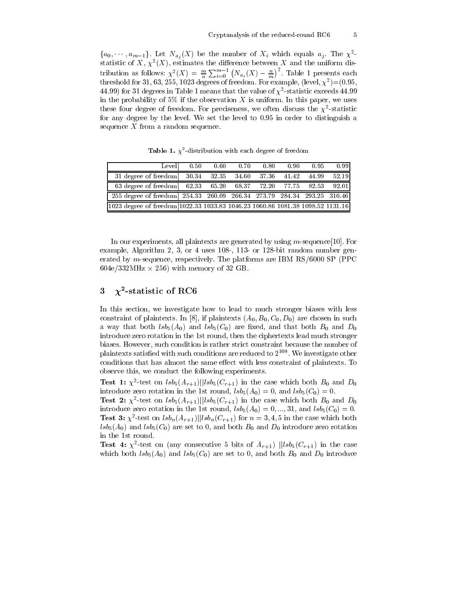$\{a_0, \dots, a_{m-1}\}\$ . Let  $N_{a_i}(X)$  be the number of  $X_i$  which equals  $a_j$ . The  $\chi^2$ statistic of X,  $\chi^2(X)$ , estimates the difference between X and the uniform distribution as follows:  $\chi^2(X) = \frac{m}{n} \sum_{i=0}^{m-1} (N_{a_i}(X) - \frac{n}{m})^2$ . Table 1 presents each threshold for 31, 63, 255, 1023 degrees of freedom. For example, (level,  $\chi^2$ )=(0.95, 44.99) for 31 degrees in Table 1 means that the value of  $\chi^2$ -statistic exceeds 44.99 in the probability of 5% if the observation  $X$  is uniform. In this paper, we uses these four degree of freedom. For preciseness, we often discuss the  $\chi^2$ -statistic for any degree by the level. We set the level to 0.95 in order to distinguish a sequence  $X$  from a random sequence.

| Levell                                                                           | 0.50 | 0.60 | 0.70 | 0.80 | 0.90 | 0.95 | 0.99 |
|----------------------------------------------------------------------------------|------|------|------|------|------|------|------|
| 31 degree of freedom 30.34 32.35 34.60 37.36 41.42 44.99 52.19                   |      |      |      |      |      |      |      |
| 63 degree of freedom 62.33 65.20 68.37 72.20 77.75 82.53 92.01                   |      |      |      |      |      |      |      |
| 255 degree of freedom  254.33 260.09 266.34 273.79 284.34 293.25 310.46          |      |      |      |      |      |      |      |
| [1023 degree of freedom 1022.33 1033.83 1046.23 1060.86 1081.38 1098.52 1131.16] |      |      |      |      |      |      |      |

**Table 1.**  $\chi^2$ -distribution with each degree of freedom

In our experiments, all plaintexts are generated by using  $m$ -sequence [10]. For example, Algorithm 2, 3, or 4 uses 108-, 113- or 128-bit random number generated by m-sequence, respectively. The platforms are IBM  $RS/6000$  SP (PPC)  $604e/332MHz \times 256$  with memory of 32 GB.

#### $\chi^2$ -statistic of RC6 3

In this section, we investigate how to lead to much stronger biases with less constraint of plaintexts. In [8], if plaintexts  $(A_0, B_0, C_0, D_0)$  are chosen in such a way that both  $lsb_5(A_0)$  and  $lsb_5(C_0)$  are fixed, and that both  $B_0$  and  $D_0$ introduce zero rotation in the 1st round, then the ciphertexts lead much stronger biases. However, such condition is rather strict constraint because the number of plaintexts satisfied with such conditions are reduced to  $2^{108}$ . We investigate other conditions that has almost the same effect with less constraint of plaintexts. To observe this, we conduct the following experiments.

**Test 1:**  $\chi^2$ -test on  $\frac{lsb_5(A_{r+1})}{|lsb_5(C_{r+1})|}$  in the case which both  $B_0$  and  $D_0$ introduce zero rotation in the 1st round,  $lsb_5(A_0) = 0$ , and  $lsb_5(C_0) = 0$ .

**Test 2:**  $\chi^2$ -test on  $\frac{lsb_5(A_{r+1})}{|lsb_5(C_{r+1})|}$  in the case which both  $B_0$  and  $D_0$ introduce zero rotation in the 1st round,  $lsb_5(A_0) = 0, ..., 31$ , and  $lsb_5(C_0) = 0$ . **Test 3:**  $\chi^2$ -test on  $lsh_n(A_{r+1})$ || $lsh_n(C_{r+1})$  for  $n=3,4,5$  in the case which both  $\overline{lsb}_5(A_0)$  and  $\overline{lsb}_5(C_0)$  are set to 0, and both  $B_0$  and  $D_0$  introduce zero rotation in the 1st round.

**Test 4:**  $\chi^2$ -test on (any consecutive 5 bits of  $A_{r+1}$ )  $||lsb_5(C_{r+1})$  in the case which both  $lsb_5(A_0)$  and  $lsb_5(C_0)$  are set to 0, and both  $B_0$  and  $D_0$  introduce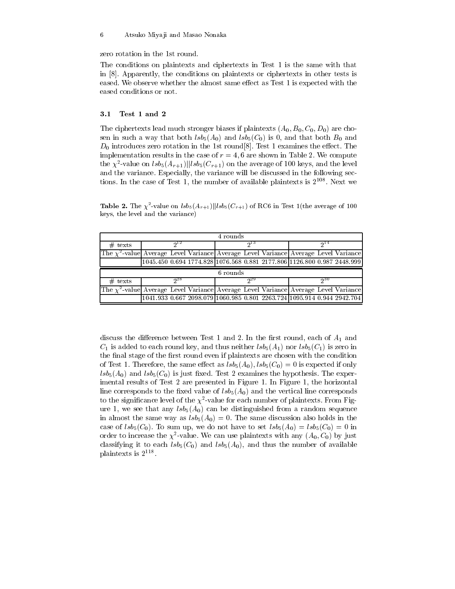#### $\;6\;$ Atsuko Miyaji and Masao Nonaka

zero rotation in the 1st round.

The conditions on plaintexts and ciphertexts in Test 1 is the same with that in  $[8]$ . Apparently, the conditions on plaintexts or ciphertexts in other tests is eased. We observe whether the almost same effect as Test 1 is expected with the eased conditions or not.

#### $3.1$ Test 1 and 2

The ciphertexts lead much stronger biases if plaintexts  $(A_0, B_0, C_0, D_0)$  are chosen in such a way that both  $lsb_5(A_0)$  and  $lsb_5(C_0)$  is 0, and that both  $B_0$  and  $D_0$  introduces zero rotation in the 1st round [8]. Test 1 examines the effect. The implementation results in the case of  $r = 4, 6$  are shown in Table 2. We compute the  $\chi^2$ -value on  $lsb_5(A_{r+1})$ || $lsb_5(C_{r+1})$  on the average of 100 keys, and the level and the variance. Especially, the variance will be discussed in the following sections. In the case of Test 1, the number of available plaintexts is  $2^{108}$ . Next we

**Table 2.** The  $\chi^2$ -value on  $\text{lsb}_5(A_{r+1})$ || $\text{lsb}_5(C_{r+1})$  of RC6 in Test 1(the average of 100 keys, the level and the variance)

| 4 rounds  |          |          |                                                                                                                                                                            |  |  |  |
|-----------|----------|----------|----------------------------------------------------------------------------------------------------------------------------------------------------------------------------|--|--|--|
| $#$ texts | $2^{12}$ | 913      | $2^{14}$                                                                                                                                                                   |  |  |  |
|           |          |          | The $\chi^2$ -value Average Level Variance Average Level Variance Average Level Variance                                                                                   |  |  |  |
|           |          |          | 1045.450 0.694 1774.828 1076.568 0.881 2177.806 1126.800 0.987 2448.999                                                                                                    |  |  |  |
|           |          |          |                                                                                                                                                                            |  |  |  |
|           |          | 6 rounds |                                                                                                                                                                            |  |  |  |
| $#$ texts | 28       | $2^{29}$ | 230                                                                                                                                                                        |  |  |  |
|           |          |          | $\int$ The $\chi^2$ -value Average Level Variance Average Level Variance Average Level Variance<br>1041.933 0.667 2098.079 1060.985 0.801 2263.724 1095.914 0.944 2942.704 |  |  |  |

discuss the difference between Test 1 and 2. In the first round, each of  $A_1$  and  $C_1$  is added to each round key, and thus neither  $lsb_5(A_1)$  nor  $lsb_5(C_1)$  is zero in the final stage of the first round even if plaintexts are chosen with the condition of Test 1. Therefore, the same effect as  $lsb_5(A_0)$ ,  $lsb_5(C_0) = 0$  is expected if only  $lsb_5(A_0)$  and  $lsb_5(C_0)$  is just fixed. Test 2 examines the hypothesis. The experimental results of Test 2 are presented in Figure 1. In Figure 1, the horizontal line corresponds to the fixed value of  $\text{lsb}_5(A_0)$  and the vertical line corresponds to the significance level of the  $\chi^2$ -value for each number of plaintexts. From Figure 1, we see that any  $\ell s b_5(A_0)$  can be distinguished from a random sequence in almost the same way as  $lsb_5(A_0)=0$ . The same discussion also holds in the case of  $lsb_5(C_0)$ . To sum up, we do not have to set  $lsb_5(A_0) = lsb_5(C_0) = 0$  in order to increase the  $\chi^2$ -value. We can use plaintexts with any  $(A_0, C_0)$  by just classifying it to each  $lsb_5(C_0)$  and  $lsb_5(A_0)$ , and thus the number of available plaintexts is  $2^{118}$ .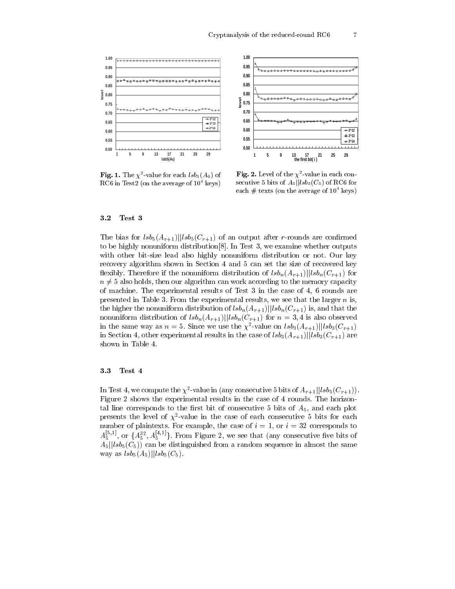

**Fig. 1.** The  $\chi^2$ -value for each  $lsb_5(A_0)$  of RC6 in Test2 (on the average of  $10^4$  keys)

Fig. 2. Level of the  $\chi^2$ -value in each consecutive 5 bits of  $A_5||lsb_5(C_5)$  of RC6 for each  $#$  texts (on the average of  $10^4$  keys)

#### $3.2$ Test 3

The bias for  $\frac{lsb_5(A_{r+1})}{|lsb_5(C_{r+1})}$  of an output after r-rounds are confirmed to be highly nonuniform distribution[8]. In Test 3, we examine whether outputs with other bit-size lead also highly nonuniform distribution or not. Our key recovery algorithm shown in Section 4 and 5 can set the size of recovered key flexibly. Therefore if the nonuniform distribution of  $lsb_n(A_{r+1})||lsb_n(C_{r+1})$  for  $n \neq 5$  also holds, then our algorithm can work according to the memory capacity of machine. The experimental results of Test 3 in the case of 4, 6 rounds are presented in Table 3. From the experimental results, we see that the larger  $n$  is, the higher the nonuniform distribution of  $lsb_n(A_{r+1})$ || $lsb_n(C_{r+1})$  is, and that the nonuniform distribution of  $lsb_n(A_{r+1})||lsb_n(C_{r+1})$  for  $n=3,4$  is also observed in the same way as  $n = 5$ . Since we use the  $\chi^2$ -value on  $\frac{lsb_3(A_{r+1})}{|lsb_3(C_{r+1})|}$ in Section 4, other experimental results in the case of  $lsb_3(A_{r+1})||lsb_3(C_{r+1})$  are shown in Table 4.

#### Test 4 3.3

In Test 4, we compute the  $\chi^2$ -value in (any consecutive 5 bits of  $A_{r+1}$ || $lsb_5(C_{r+1})$ ). Figure 2 shows the experimental results in the case of 4 rounds. The horizontal line corresponds to the first bit of consecutive 5 bits of  $A_5$ , and each plot presents the level of  $\chi^2$ -value in the case of each consecutive 5 bits for each number of plaintexts. For example, the case of  $i = 1$ , or  $i = 32$  corresponds to  $A_5^{[5,1]}$ , or  $\{A_5^{32}, A_5^{[4,1]}\}$ . From Figure 2, we see that (any consecutive five bits of  $A_5||lsb_5(C_5))$  can be distinguished from a random sequence in almost the same way as  $lsb_5(A_5)||lsb_5(C_5)$ .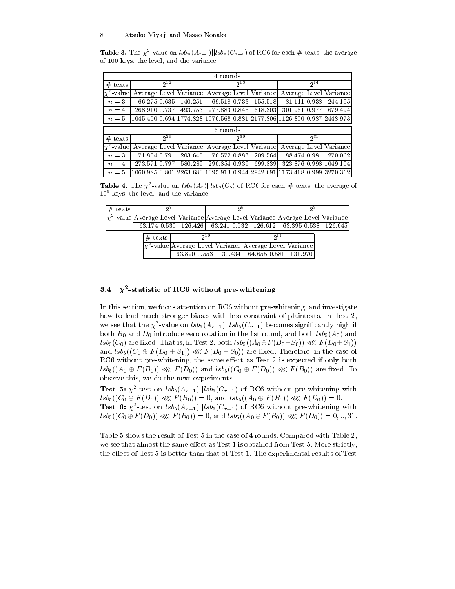**Table 3.** The  $\chi^2$ -value on  $lsb_n(A_{r+1})$ || $lsb_n(C_{r+1})$  of RC6 for each # texts, the average of 100 keys, the level, and the variance

| 4 rounds        |                                                                                      |          |               |          |         |                                               |          |                        |
|-----------------|--------------------------------------------------------------------------------------|----------|---------------|----------|---------|-----------------------------------------------|----------|------------------------|
| $#$ texts       | $2^{12}$                                                                             |          |               | $2^{13}$ |         |                                               | $2^{14}$ |                        |
|                 | $\chi^2$ -value Average Level Variance Average Level Variance Average Level Variance |          |               |          |         |                                               |          |                        |
| $n=3$           | 66.275 0.635                                                                         | 140.251  | 69.518 0.733  |          | 155.518 | 81.111 0.938                                  |          | 244.195                |
| $n=4$           | 268.910 0.737                                                                        | 493.7531 | 277.883 0.845 |          | 618.303 | 301.961 0.977                                 |          | 679.494                |
| $n=5$           | 1045.450 0.694 1774.828 1076.568 0.881 2177.806 1126.800 0.987 2448.973              |          |               |          |         |                                               |          |                        |
|                 |                                                                                      |          | 6 rounds      |          |         |                                               |          |                        |
| $#$ texts       | $2^{29}$                                                                             |          |               | $2^{30}$ |         |                                               | $2^{31}$ |                        |
| $\chi^2$ -value | Average Level Variance                                                               |          |               |          |         | Average Level Variance Average Level Variance |          |                        |
| $n=3$           | 71.804 0.791                                                                         | 203.645  | 76.572 0.883  |          | 209.564 | 88.474 0.981                                  |          | 270.062                |
| $n=4$           | 273.571 0.797                                                                        | 580.289  | 290.854 0.939 |          | 699.839 |                                               |          | 323.876 0.998 1049.104 |
| $n=5$           | 1060.985 0.801 2263.68011095.913 0.944 2942.69111173.418 0.999 3270.362              |          |               |          |         |                                               |          |                        |

**Table 4.** The  $\chi^2$ -value on  $\frac{lsb_3(A_5)}{llsb_3(C_5)}$  of RC6 for each # texts, the average of  $10<sup>5</sup>$  keys, the level, and the variance

| $#$ texts |            |     |                                                                                      |  |
|-----------|------------|-----|--------------------------------------------------------------------------------------|--|
|           |            |     | $\chi^2$ -value Average Level Variance Average Level Variance Average Level Variance |  |
|           |            |     | 63.174 0.530 126.426 63.241 0.532 126.612 63.395 0.538 126.645                       |  |
|           | $\#$ texts | ງ10 |                                                                                      |  |
|           |            |     | $\chi^2$ -value Average Level Variance Average Level Variance                        |  |
|           |            |     | 63.820 0.553 130.434 64.655 0.581 131.970                                            |  |

#### $\chi^2$ -statistic of RC6 without pre-whitening 3.4

In this section, we focus attention on RC6 without pre-whitening, and investigate how to lead much stronger biases with less constraint of plaintexts. In Test 2, we see that the  $\chi^2$ -value on  $lsb_5(A_{r+1})$ ||lsb<sub>5</sub>(C<sub>r+1</sub>) becomes significantly high if both  $B_0$  and  $D_0$  introduce zero rotation in the 1st round, and both  $lsb_5(A_0)$  and  $\text{lsb}_5(C_0)$  are fixed. That is, in Test 2, both  $\text{lsb}_5((A_0 \oplus F(B_0 + S_0)) \ll F(D_0 + S_1))$ and  $lsb_5((C_0 \oplus F(D_0 + S_1)) \ll F(B_0 + S_0))$  are fixed. Therefore, in the case of RC6 without pre-whitening, the same effect as Test 2 is expected if only both  $lsb_5((A_0 \oplus F(B_0)) \ll F(D_0))$  and  $lsb_5((C_0 \oplus F(D_0)) \ll F(B_0))$  are fixed. To observe this, we do the next experiments.

**Test 5:**  $\chi^2$ -test on  $\frac{lsb_5(A_{r+1})}{|lsb_5(C_{r+1})|}$  of RC6 without pre-whitening with  $lsb_5((C_0 \oplus F(D_0)) \ll F(B_0)) = 0$ , and  $lsb_5((A_0 \oplus F(B_0)) \ll F(D_0)) = 0$ . **Test 6:**  $\chi^2$ -test on  $\frac{lsb_5(A_{r+1})}{|lsb_5(C_{r+1})|}$  of RC6 without pre-whitening with  $lsb_5((C_0 \oplus F(D_0)) \lll F(B_0)) = 0$ , and  $lsb_5((A_0 \oplus F(B_0)) \lll F(D_0)) = 0, ..., 31$ .

Table 5 shows the result of Test 5 in the case of 4 rounds. Compared with Table 2, we see that almost the same effect as Test 1 is obtained from Test 5. More strictly, the effect of Test 5 is better than that of Test 1. The experimental results of Test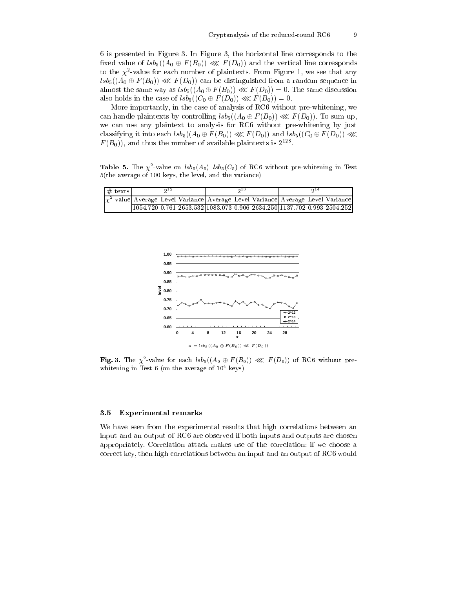6 is presented in Figure 3. In Figure 3, the horizontal line corresponds to the fixed value of  $\text{lsb}_5((A_0 \oplus F(B_0)) \ll F(D_0))$  and the vertical line corresponds to the  $\chi^2$ -value for each number of plaintexts. From Figure 1, we see that any  $\mathcal{Q}_{1s}(A_0 \oplus \mathcal{F}(B_0)) \ll \mathcal{F}(D_0)$  can be distinguished from a random sequence in almost the same way as  $lsb_5((A_0 \oplus F(B_0)) \ll F(D_0)) = 0$ . The same discussion also holds in the case of  $lsb_5((C_0 \oplus F(D_0)) \ll F(B_0)) = 0$ .

More importantly, in the case of analysis of RC6 without pre-whitening, we can handle plaintexts by controlling  $\text{lsb}_5((A_0 \oplus F(B_0)) \ll F(D_0))$ . To sum up, we can use any plaintext to analysis for RC6 without pre-whitening by just classifying it into each  $lsb_5((A_0 \oplus F(B_0)) \lll F(D_0))$  and  $lsb_5((C_0 \oplus F(D_0)) \lll$  $F(B_0)$ , and thus the number of available plaintexts is  $2^{128}$ .

**Table 5.** The  $\chi^2$ -value on  $lsb_5(A_5)||lsb_5(C_5)$  of RC6 without pre-whitening in Test  $5$ (the average of 100 keys, the level, and the variance)

| $#$ texts | ດ 13                                                                                 | 214 |
|-----------|--------------------------------------------------------------------------------------|-----|
|           | $\chi^2$ -value Average Level Variance Average Level Variance Average Level Variance |     |
|           | 1054.720 0.761 2653.532 1083.073 0.906 2634.250 1137.702 0.993 2504.252              |     |



Fig. 3. The  $\chi^2$ -value for each  $lsb_5((A_0 \oplus F(B_0)) \ll F(D_0))$  of RC6 without prewhitening in Test  $6$  (on the average of  $10^4$  keys)

#### $3.5$ **Experimental remarks**

We have seen from the experimental results that high correlations between an input and an output of RC6 are observed if both inputs and outputs are chosen appropriately. Correlation attack makes use of the correlation: if we choose a correct key, then high correlations between an input and an output of RC6 would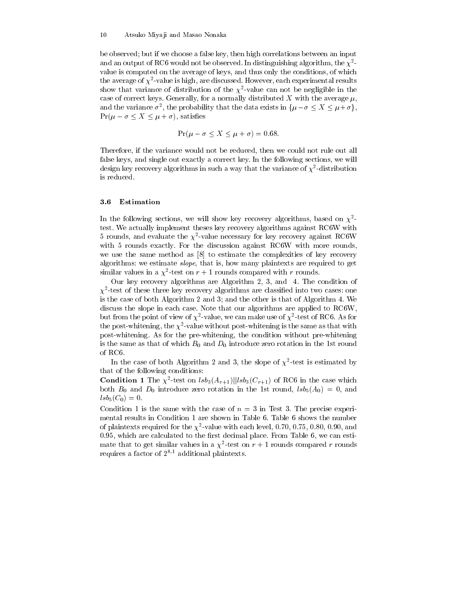be observed; but if we choose a false key, then high correlations between an input and an output of RC6 would not be observed. In distinguishing algorithm, the  $\chi^2$ value is computed on the average of keys, and thus only the conditions, of which the average of  $\chi^2$ -value is high, are discussed. However, each experimental results show that variance of distribution of the  $\chi^2$ -value can not be negligible in the case of correct keys. Generally, for a normally distributed X with the average  $\mu$ , and the variance  $\sigma^2$ , the probability that the data exists in  $\{\mu - \sigma \leq X \leq \mu + \sigma\},\$  $Pr(\mu - \sigma \leq X \leq \mu + \sigma)$ , satisfies

$$
\Pr(\mu - \sigma \le X \le \mu + \sigma) = 0.68.
$$

Therefore, if the variance would not be reduced, then we could not rule out all false keys, and single out exactly a correct key. In the following sections, we will design key recovery algorithms in such a way that the variance of  $\chi^2$ -distribution is reduced.

#### $3.6\phantom{0}$ Estimation

In the following sections, we will show key recovery algorithms, based on  $\chi^2$ test. We actually implement theses key recovery algorithms against RC6W with 5 rounds, and evaluate the  $\chi^2$ -value necessary for key recovery against RC6W with 5 rounds exactly. For the discussion against RC6W with more rounds, we use the same method as  $[8]$  to estimate the complexities of key recovery algorithms: we estimate *slope*, that is, how many plaintexts are required to get similar values in a  $\chi^2$ -test on  $r + 1$  rounds compared with r rounds.

Our key recovery algorithms are Algorithm 2, 3, and 4. The condition of  $\chi^2$ -test of these three key recovery algorithms are classified into two cases: one is the case of both Algorithm 2 and 3; and the other is that of Algorithm 4. We discuss the slope in each case. Note that our algorithms are applied to RC6W. but from the point of view of  $\chi^2$ -value, we can make use of  $\chi^2$ -test of RC6. As for the post-whitening, the  $\chi^2$ -value without post-whitening is the same as that with post-whitening. As for the pre-whitening, the condition without pre-whitening is the same as that of which  $B_0$  and  $D_0$  introduce zero rotation in the 1st round of RC6.

In the case of both Algorithm 2 and 3, the slope of  $\chi^2$ -test is estimated by that of the following conditions:

**Condition 1** The  $\chi^2$ -test on  $\text{lsb}_3(A_{r+1})$ || $\text{lsb}_3(C_{r+1})$  of RC6 in the case which both  $B_0$  and  $D_0$  introduce zero rotation in the 1st round,  $lsb_5(A_0) = 0$ , and  $lsb_5(C_0)=0.$ 

Condition 1 is the same with the case of  $n = 3$  in Test 3. The precise experimental results in Condition 1 are shown in Table 6. Table 6 shows the number of plaintexts required for the  $\chi^2$ -value with each level, 0.70, 0.75, 0.80, 0.90, and 0.95, which are calculated to the first decimal place. From Table 6, we can estimate that to get similar values in a  $\chi^2$ -test on  $r + 1$  rounds compared r rounds requires a factor of  $2^{8.1}$  additional plaintexts.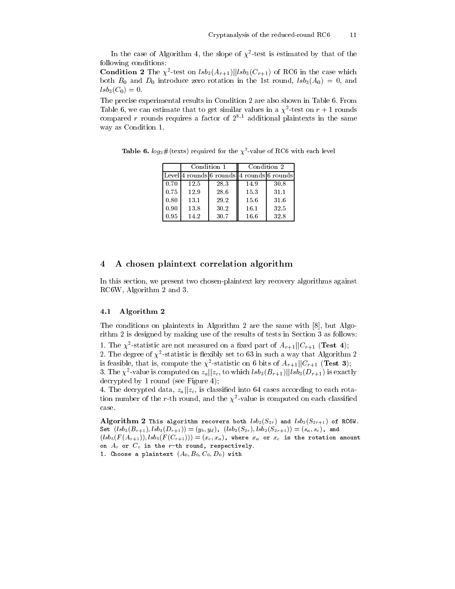In the case of Algorithm 4, the slope of  $\chi^2$ -test is estimated by that of the following conditions:

**Condition 2** The  $\chi^2$ -test on  $\frac{lsb_3(A_{r+1})}{|lsb_3(C_{r+1})|}$  of RC6 in the case which both  $B_0$  and  $D_0$  introduce zero rotation in the 1st round,  $lsb_3(A_0) = 0$ , and  $lsb_3(C_0)=0.$ 

The precise experimental results in Condition 2 are also shown in Table 6. From Table 6, we can estimate that to get similar values in a  $\chi^2$ -test on  $r + 1$  rounds compared  $r$  rounds requires a factor of  $2^{8.1}$  additional plaintexts in the same way as Condition 1.

**Table 6.**  $log_2 \#$ (texts) required for the  $\chi^2$ -value of RC6 with each level

|      | Condition 1 |      | Condition 2                                |      |
|------|-------------|------|--------------------------------------------|------|
|      |             |      | Level 4 rounds 6 rounds  4 rounds 6 rounds |      |
| 0.70 | 12.5        | 28.3 | 14.9                                       | 30.8 |
| 0.75 | 12.9        | 28.6 | 15.3                                       | 31.1 |
| 0.80 | 13.1        | 29.2 | 15.6                                       | 31.6 |
| 0.90 | 13.8        | 30.2 | 16.1                                       | 32.5 |
| 0.95 | 14.2        | 30.7 | 16.6                                       | 32.8 |

#### A chosen plaintext correlation algorithm  $\overline{4}$

In this section, we present two chosen-plaintext key recovery algorithms against RC6W, Algorithm 2 and 3.

#### 4.1 Algorithm 2

The conditions on plaintexts in Algorithm 2 are the same with [8], but Algorithm 2 is designed by making use of the results of tests in Section 3 as follows:

1. The  $\chi^2$ -statistic are not measured on a fixed part of  $A_{r+1}||C_{r+1}$  (Test 4); 2. The degree of  $\chi^2$ -statistic is flexibly set to 63 in such a way that Algorithm 2 is feasible, that is, compute the  $\chi^2$ -statistic on 6 bits of  $A_{r+1}||C_{r+1}$  (**Test 3**); 3. The  $\chi^2$ -value is computed on  $z_a||z_c$ , to which  $lsb_3(B_{r+1})||lsb_3(D_{r+1})$  is exactly decrypted by 1 round (see Figure 4);

4. The decrypted data,  $z_a || z_c$ , is classified into 64 cases according to each rotation number of the r-th round, and the  $\chi^2$ -value is computed on each classified case.

Algorithm 2 This algorithm recovers both  $lsb_2(S_{2r})$  and  $lsb_2(S_{2r+1})$  of RC6W. Set  $(lsb_3(B_{r+1}),lsb_3(D_{r+1}))=(y_b,y_d)$ ,  $(lsb_2(S_{2r}),lsb_2(S_{2r+1}))=(s_a,s_c)$ , and  $(lsb_5(F(A_{r+1})),lsb_5(F(C_{r+1}))) = (x_c,x_a)$ , where  $x_a$  or  $x_c$  is the rotation amount on  $A_r$  or  $C_r$  in the r-th round, respectively. 1. Choose a plaintext  $(A_0, B_0, C_0, D_0)$  with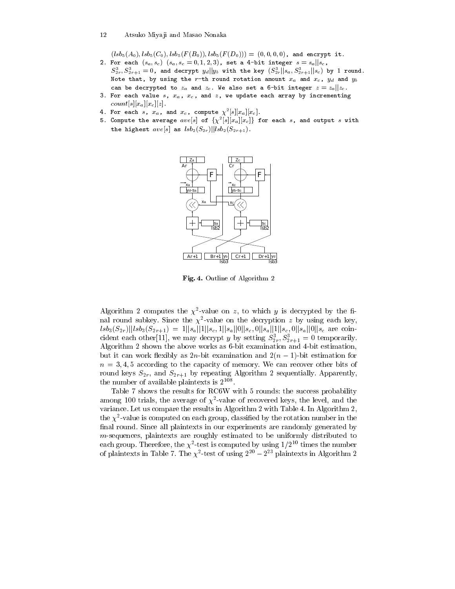$(lsb_5(A_0),lsb_5(C_0),lsb_5(F(B_0)),lsb_5(F(D_0))) = (0,0,0,0)$ , and encrypt it.

- 2. For each  $(s_a, s_c)$   $(s_a, s_c = 0, 1, 2, 3)$ , set a 4-bit integer  $s = s_a || s_c$ ,  $S_{2r}^3, S_{2r+1}^3=0$ , and decrypt  $y_d||y_b$  with the key  $(S_{2r}^3||s_a,S_{2r+1}^3||s_c)$  by  $1$  round. Note that, by using the r-th round rotation amount  $x_a$  and  $x_c$ ,  $y_d$  and  $y_b$ can be decrypted to  $z_a$  and  $z_c$ . We also set a 6-bit integer  $z = z_a || z_c$ .
- 3. For each value  $s$ ,  $x_a$ ,  $x_c$ , and  $z$ , we update each array by incrementing  $count[s][x_a][x_c][z]$ .
- 
- 4. For each s,  $x_a$ , and  $x_c$ , compute  $\chi^2[s][x_a][x_c]$ .<br>5. Compute the average  $ave[s]$  of  $\{\chi^2[s][x_a][x_c]\}$  for each s, and output s with the highest  $ave[s]$  as  $lsb_2(S_{2r})||lsb_2(S_{2r+1})$ .



Fig. 4. Outline of Algorithm 2

Algorithm 2 computes the  $\chi^2$ -value on z, to which y is decrypted by the final round subkey. Since the  $\chi^2$ -value on the decryption z by using each key,  $lsb_3(S_{2r})||lsb_3(S_{2r+1}) = 1||s_a||1||s_c, 1||s_a||0||s_c, 0||s_a||1||s_c, 0||s_a||0||s_c$  are coincident each other[11], we may decrypt y by setting  $S_{2r}^3, S_{2r+1}^3 = 0$  temporarily. Algorithm 2 shown the above works as 6-bit examination and 4-bit estimation, but it can work flexibly as 2n-bit examination and  $2(n-1)$ -bit estimation for  $n = 3, 4, 5$  according to the capacity of memory. We can recover other bits of round keys  $S_{2r}$ , and  $S_{2r+1}$  by repeating Algorithm 2 sequentially. Apparently, the number of available plaintexts is  $2^{108}$ .

Table 7 shows the results for RC6W with 5 rounds: the success probability among 100 trials, the average of  $\chi^2$ -value of recovered keys, the level, and the variance. Let us compare the results in Algorithm 2 with Table 4. In Algorithm 2, the  $\chi^2$ -value is computed on each group, classified by the rotation number in the final round. Since all plaintexts in our experiments are randomly generated by  $m$ -sequences, plaintexts are roughly estimated to be uniformly distributed to each group. Therefore, the  $\chi^2$ -test is computed by using  $1/2^{10}$  times the number of plaintexts in Table 7. The  $\chi^2$ -test of using  $2^{20} - 2^{23}$  plaintexts in Algorithm 2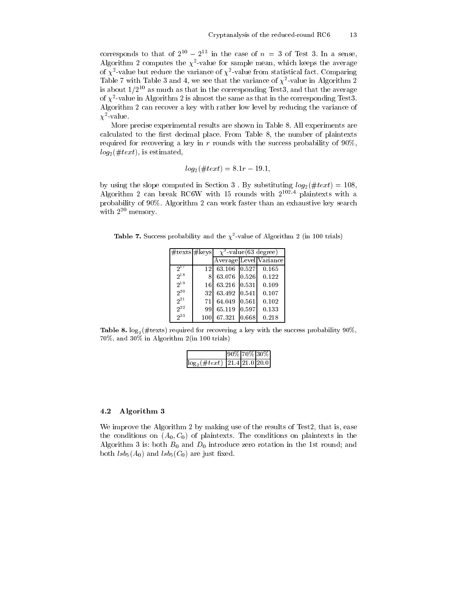corresponds to that of  $2^{10} - 2^{13}$  in the case of  $n = 3$  of Test 3. In a sense, Algorithm 2 computes the  $\chi^2$ -value for sample mean, which keeps the average of  $\chi^2$ -value but reduce the variance of  $\chi^2$ -value from statistical fact. Comparing Table 7 with Table 3 and 4, we see that the variance of  $\chi^2$ -value in Algorithm 2 is about  $1/2^{10}$  as much as that in the corresponding Test3, and that the average of  $\chi^2$ -value in Algorithm 2 is almost the same as that in the corresponding Test3. Algorithm 2 can recover a key with rather low level by reducing the variance of  $\chi^2$ -value.

More precise experimental results are shown in Table 8. All experiments are calculated to the first decimal place. From Table 8, the number of plaintexts required for recovering a key in  $r$  rounds with the success probability of  $90\%$ ,  $log_2(\#text{x}t)$ , is estimated,

$$
log_2(\#text) = 8.1r - 19.1
$$

by using the slope computed in Section 3. By substituting  $log_2(\#text{text}) = 108$ Algorithm 2 can break RC6W with 15 rounds with 2<sup>102.4</sup> plaintexts with a probability of 90%. Algorithm 2 can work faster than an exhaustive key search with  $2^{20}$  memory.

**Table 7.** Success probability and the  $\chi^2$ -value of Algorithm 2 (in 100 trials)

| $\#text{texts} \# \text{keys}$ |     | $\chi^2$ -value(63 degree) |       |                        |  |  |
|--------------------------------|-----|----------------------------|-------|------------------------|--|--|
|                                |     |                            |       | Average Level Variance |  |  |
| 21                             | 12. | 63.106                     | 0.527 | 0.165                  |  |  |
| 218                            | 8   | 63.076                     | 0.526 | 0.122                  |  |  |
| 219                            | 16  | 63.216                     | 0.531 | 0.109                  |  |  |
| $2^{20}$                       | 321 | 63.492                     | 0.541 | 0.107                  |  |  |
| $2^{21}$                       | 71  | 64.049                     | 0.561 | 0.102                  |  |  |
| $2^{22}$                       | 99  | 65.119                     | 0.597 | 0.133                  |  |  |
| $2^{23}$                       |     | 67.321                     | 0.668 | 0.218                  |  |  |

Table 8.  $log_2(\#text{texts})$  required for recovering a key with the success probability 90%,  $70\%$ , and  $30\%$  in Algorithm 2(in 100 trials)

|                                       | $ 90\% 70\% 30\% $ |  |
|---------------------------------------|--------------------|--|
| $\log_2(\#text{text})$ 21.4 21.0 20.0 |                    |  |

#### Algorithm 3 4.2

We improve the Algorithm 2 by making use of the results of Test2, that is, ease the conditions on  $(A_0, C_0)$  of plaintexts. The conditions on plaintexts in the Algorithm 3 is: both  $B_0$  and  $D_0$  introduce zero rotation in the 1st round; and both  $lsb_5(A_0)$  and  $lsb_5(C_0)$  are just fixed.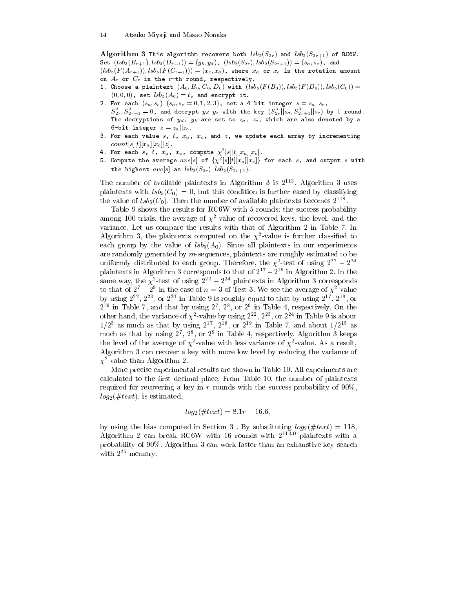Algorithm 3 This algorithm recovers both  $lsb_2(S_{2r})$  and  $lsb_2(S_{2r+1})$  of RC6W. Set  $(lsb_3(B_{r+1}),lsb_3(D_{r+1})) = (y_b, y_d), (lsb_2(S_{2r}),lsb_2(S_{2r+1})) = (s_a, s_c),$  and  $(lsb_5(F(A_{r+1})),lbb_5(F(C_{r+1})))=(x_c,x_a)$ , where  $x_a$  or  $x_c$  is the rotation amount

- on  $A_r$  or  $C_r$  in the r-th round, respectively.
- 1. Choose a plaintext  $(A_0, B_0, C_0, D_0)$  with  $(lsb_5(F(B_0)), lsb_5(F(D_0)), lsb_5(C_0)) =$  $(0,0,0)$ , set  $lsb_5(A_0) = t$ , and encrypt it.
- 2. For each  $(s_a, s_c)$   $(s_a, s_c = 0, 1, 2, 3)$ , set a 4-bit integer  $s = s_a || s_c$ ,  $S^3_{2r},S^3_{2r+1}=0$ , and decrypt  $y_d||y_b$  with the key  $(S^3_{2r}||s_a,S^3_{2r+1}||s_c)$  by  $1$  round The decryptions of  $y_d$ ,  $y_b$  are set to  $z_a$ ,  $z_c$ , which are also denoted by a 6-bit integer  $z = z_a || z_c$ .
- 3. For each value s,  $t$ ,  $x_a$ ,  $x_c$ , and  $z$ , we update each array by incrementing  $count[s][t][x_a][x_c][z]$ .
- 
- 4. For each s, t,  $x_a$ ,  $x_c$ , compute  $\chi^2[s][t][x_a][x_c]$ .<br>5. Compute the average  $ave[s]$  of  $\{\chi^2[s][t][x_a][x_c]\}$  for each s, and output s with the highest  $ave[s]$  as  $lsb<sub>2</sub>(S<sub>2r</sub>)||lsb<sub>2</sub>(S<sub>2r+1</sub>)$ .

The number of available plaintexts in Algorithm 3 is  $2^{113}$ . Algorithm 3 uses plaintexts with  $lsb_5(C_0) = 0$ , but this condition is further eased by classifying the value of  $lsb_5(C_0)$ . Then the number of available plaintexts becomes  $2^{118}$ .

Table 9 shows the results for RC6W with 5 rounds: the success probability among 100 trials, the average of  $\chi^2$ -value of recovered keys, the level, and the variance. Let us compare the results with that of Algorithm 2 in Table 7. In Algorithm 3, the plaintexts computed on the  $\chi^2$ -value is further classified to each group by the value of  $lsb<sub>5</sub>(A<sub>0</sub>)$ . Since all plaintexts in our experiments are randomly generated by  $m$ -sequences, plaintexts are roughly estimated to be uniformly distributed to each group. Therefore, the  $\chi^2$ -test of using  $2^{22} - 2^{24}$ plaintexts in Algorithm 3 corresponds to that of  $2^{17} - 2^{19}$  in Algorithm 2. In the same way, the  $\chi^2$ -test of using  $2^{22} - 2^{24}$  plaintexts in Algorithm 3 corresponds to that of  $2^7 - 2^9$  in the case of  $n = 3$  of Test 3. We see the average of  $\chi^2$ -value by using  $2^{22}$ ,  $2^{23}$ , or  $2^{24}$  in Table 9 is roughly equal to that by using  $2^{17}$ ,  $2^{18}$ , or  $2^{19}$  in Table 7, and that by using  $2^7$ ,  $2^8$ , or  $2^9$  in Table 4, respectively. On the other hand, the variance of  $\chi^2$ -value by using  $2^{22}$ ,  $2^{23}$ , or  $2^{24}$  in Table 9 is about  $1/2^5$  as much as that by using  $2^{17}$ ,  $2^{18}$ , or  $2^{19}$  in Table 7, and about  $1/2^{15}$  as much as that by using  $2^7$ ,  $2^8$ , or  $2^9$  in Table 4, respectively. Algorithm 3 keeps the level of the average of  $\chi^2$ -value with less variance of  $\chi^2$ -value. As a result, Algorithm 3 can recover a key with more low level by reducing the variance of  $\chi^2$ -value than Algorithm 2.

More precise experimental results are shown in Table 10. All experiments are calculated to the first decimal place. From Table 10, the number of plaintexts required for recovering a key in  $r$  rounds with the success probability of  $90\%$ ,  $log_2(\#text{x}t)$ , is estimated,

$$
log_2(\#text) = 8.1r - 16.6,
$$

by using the bias computed in Section 3. By substituting  $log_2(\#text{text}) = 118$ , Algorithm 2 can break RC6W with 16 rounds with  $2^{113.0}$  plaintexts with a probability of 90%. Algorithm 3 can work faster than an exhaustive key search with  $2^{25}$  memory.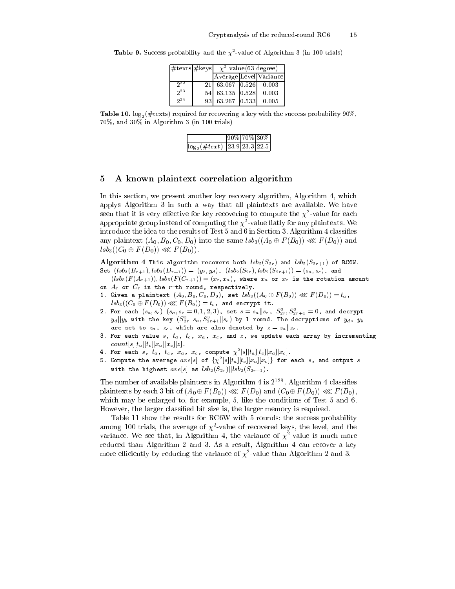| $\#$ texts $\#$ keys | $\chi^2$ -value(63 degree)    |  |                        |  |
|----------------------|-------------------------------|--|------------------------|--|
|                      |                               |  | Average Level Variance |  |
| 22                   | $21$   63.067   0.526   0.003 |  |                        |  |
| $2^2$                | 54 63.135 0.528               |  | 0.003                  |  |
| 2 <sup>4</sup>       | 93 63.267 0.533               |  | 0.005                  |  |

**Table 9.** Success probability and the  $\chi^2$ -value of Algorithm 3 (in 100 trials)

Table 10.  $\log_2(\# \text{text})$  required for recovering a key with the success probability 90%, 70%, and 30% in Algorithm 3 (in 100 trials)

|                                        |  | 90% 70% 30% |
|----------------------------------------|--|-------------|
| $\log_2(\#text{ text})$ 23.9 23.3 22.5 |  |             |

#### A known plaintext correlation algorithm 5

In this section, we present another key recovery algorithm, Algorithm 4, which applys Algorithm 3 in such a way that all plaintexts are available. We have seen that it is very effective for key recovering to compute the  $\chi^2$ -value for each appropriate group instead of computing the  $\chi^2$ -value flatly for any plaintexts. We introduce the idea to the results of Test 5 and 6 in Section 3. Algorithm 4 classifies any plaintext  $(A_0, B_0, C_0, D_0)$  into the same  $lsb_3((A_0 \oplus F(B_0)) \lll F(D_0))$  and  $lsb_3((C_0 \oplus F(D_0)) \lll F(B_0)).$ 

Algorithm 4 This algorithm recovers both  $lsb_2(S_{2r})$  and  $lsb_2(S_{2r+1})$  of RC6W. Set  $(lsb_3(B_{r+1}), lsb_3(D_{r+1})) = (y_b, y_d), (lsb_2(S_{2r}), lsb_2(S_{2r+1})) = (s_a, s_c),$  and

 $(lsb_5(F(A_{r+1})),lsb_5(F(C_{r+1})) = (x_c,x_a)$ , where  $x_a$  or  $x_c$  is the rotation amount on  $A_r$  or  $C_r$  in the r-th round, respectively.

- 1. Given a plaintext  $(A_0, B_0, C_0, D_0)$ , set  $lsb_3((A_0 \oplus F(B_0)) \lll F(D_0)) = t_a$ ,  $lsb_3((C_0 \oplus F(D_0)) \lll F(B_0)) = t_c$ , and encrypt it.
- 2. For each  $(s_a, s_c)$   $(s_a, s_c = 0, 1, 2, 3)$ , set  $s = s_a || s_c$ ,  $S_{2r}^3, S_{2r+1}^3 = 0$ , and decrypt  $y_d||y_b$  with the key  $(S_{2r}^3||s_a, S_{2r+1}^3||s_c)$  by 1 round. The decryptions of  $y_d$ ,  $y_b$ are set to  $z_a$ ,  $z_c$ , which are also denoted by  $z=z_a||z_c$ .
- 3. For each value s,  $t_a$ ,  $t_c$ ,  $x_a$ ,  $x_c$ , and  $z$ , we update each array by incrementing  $count[s][t_a][t_c][x_a][x_c][z]$ .
- 4. For each s,  $t_a$ ,  $t_c$ ,  $x_a$ ,  $x_c$ , compute  $\chi^2[s][t_a][t_c][x_a][x_c]$ .
- 5. Compute the average  $ave[s]$  of  $\{\chi^2[s][t_a][t_c][x_a][x_c]\}$  for each s, and output s with the highest  $ave[s]$  as  $lsb_2(S_{2r})||lsb_2(S_{2r+1})$ .

The number of available plaintexts in Algorithm 4 is  $2^{128}$ . Algorithm 4 classifies plaintexts by each 3 bit of  $(A_0 \oplus F(B_0)) \ll F(D_0)$  and  $(C_0 \oplus F(D_0)) \ll F(B_0)$ , which may be enlarged to, for example, 5, like the conditions of Test 5 and 6. However, the larger classified bit size is, the larger memory is required.

Table 11 show the results for RC6W with 5 rounds: the success probability among 100 trials, the average of  $\chi^2$ -value of recovered keys, the level, and the variance. We see that, in Algorithm 4, the variance of  $\chi^2$ -value is much more reduced than Algorithm 2 and 3. As a result, Algorithm 4 can recover a key more efficiently by reducing the variance of  $\chi^2$ -value than Algorithm 2 and 3.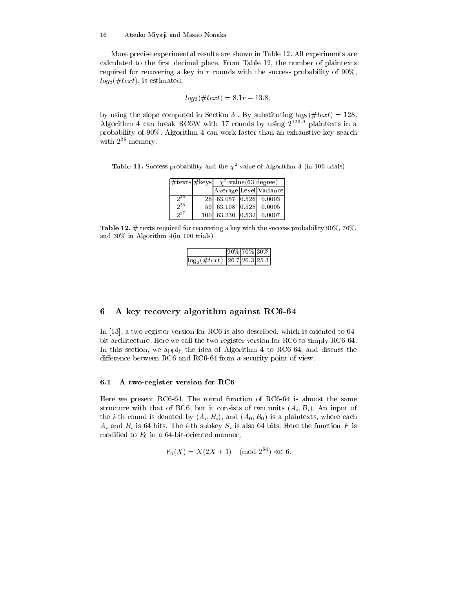More precise experimental results are shown in Table 12. All experiments are calculated to the first decimal place. From Table 12, the number of plaintexts required for recovering a key in  $r$  rounds with the success probability of  $90\%$ ,  $log_2(\#text{x}t)$ , is estimated,

$$
log_2(\#text) = 8.1r - 13.8,
$$

by using the slope computed in Section 3. By substituting  $log_2(\#text{ text}) = 128$ , Algorithm 4 can break RC6W with 17 rounds by using  $2^{123.9}$  plaintexts in a probability of 90%. Algorithm 4 can work faster than an exhaustive key search with  $2^{26}$  memory.

**Table 11.** Success probability and the  $\chi^2$ -value of Algorithm 4 (in 100 trials)

| $\#$ texts $\#$ keys | $\chi^2$ -value(63 degree) |  |                        |  |
|----------------------|----------------------------|--|------------------------|--|
|                      |                            |  | Average Level Variance |  |
| 25                   | 26 63.057 0.526 0.0003     |  |                        |  |
| 26                   | 59 63.108 0.528 0.0005     |  |                        |  |
| $2^{27}$             | 100 63.230 0.532 0.0007    |  |                        |  |

Table 12.  $\#$  texts required for recovering a key with the success probability 90%, 70%, and  $30\%$  in Algorithm  $4$ (in 100 trials)

|                                       | 90% 70% 30% |  |
|---------------------------------------|-------------|--|
| $\log_2(\#text{text})$ 26.7 26.3 25.3 |             |  |

#### 6 A key recovery algorithm against RC6-64

In [13], a two-register version for RC6 is also described, which is oriented to  $64$ bit architecture. Here we call the two-register version for RC6 to simply RC6-64. In this section, we apply the idea of Algorithm 4 to RC6-64, and discuss the difference between RC6 and RC6-64 from a security point of view.

#### $6.1$ A two-register version for RC6

Here we present RC6-64. The round function of RC6-64 is almost the same structure with that of RC6, but it consists of two units  $(A_i, B_i)$ . An input of the *i*-th round is denoted by  $(A_i, B_i)$ , and  $(A_0, B_0)$  is a plaintexts, where each  $A_i$  and  $B_i$  is 64 bits. The *i*-th subkey  $S_i$  is also 64 bits. Here the function F is modified to  $F_6$  in a 64-bit-oriented manner,

$$
F_6(X) = X(2X + 1) \pmod{2^{64}} \ll 6.
$$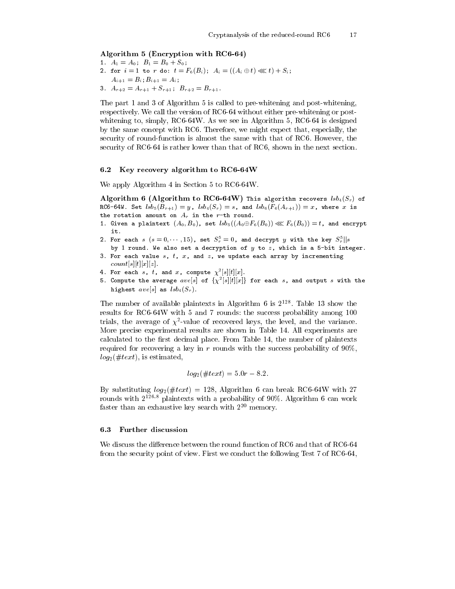### Algorithm 5 (Encryption with RC6-64)

1.  $A_1 = A_0$ ;  $B_1 = B_0 + S_0$ ; 2. for  $i = 1$  to r do:  $t = F_6(B_i)$ ;  $A_i = ((A_i \oplus t) \ll l) + S_i$ ;  $A_{i+1} = B_i$ ;  $B_{i+1} = A_i$ ; 3.  $A_{r+2} = A_{r+1} + S_{r+1}$ ;  $B_{r+2} = B_{r+1}$ .

The part 1 and 3 of Algorithm 5 is called to pre-whitening and post-whitening, respectively. We call the version of RC6-64 without either pre-whitening or postwhitening to, simply, RC6-64W. As we see in Algorithm 5, RC6-64 is designed by the same concept with RC6. Therefore, we might expect that, especially, the security of round-function is almost the same with that of RC6. However, the security of RC6-64 is rather lower than that of RC6, shown in the next section.

#### Key recovery algorithm to RC6-64W  $6.2$

We apply Algorithm 4 in Section 5 to RC6-64W.

Algorithm 6 (Algorithm to RC6-64W) This algorithm recovers  $lsb_4(S_r)$  of RC6-64W. Set  $lsb_5(B_{r+1}) = y$ ,  $lsb_4(S_r) = s$ , and  $lsb_6(F_6(A_{r+1})) = x$ , where x is the rotation amount on  $A_r$  in the r-th round.

- 1. Given a plaintext  $(A_0, B_0)$ , set  $lsb_5((A_0 \oplus F_6(B_0)) \lll F_6(B_0)) = t$ , and encrypt  $\mathbf{i}$  t.
- 2. For each  $s$   $(s = 0, \dots, 15)$ , set  $S_r^5 = 0$ , and decrypt y with the key  $S_r^5||s$
- by 1 round. We also set a decryption of  $y$  to  $z$ , which is a 5-bit integer. 3. For each value  $s$ ,  $t$ ,  $x$ , and  $z$ , we update each array by incrementing
- $count[s][t][x][z]$ .
- 4. For each s, t, and x, compute  $\chi^2[s][t][x]$ .
- 5. Compute the average  $ave[s]$  of  $\{\chi^2[s][t][x]\}$  for each s, and output s with the highest  $ave[s]$  as  $lsb<sub>4</sub>(S<sub>r</sub>)$ .

The number of available plaintexts in Algorithm 6 is  $2^{128}$ . Table 13 show the results for RC6-64W with 5 and 7 rounds: the success probability among 100 trials, the average of  $\chi^2$ -value of recovered keys, the level, and the variance. More precise experimental results are shown in Table 14. All experiments are calculated to the first decimal place. From Table 14, the number of plaintexts required for recovering a key in r rounds with the success probability of  $90\%$ ,  $log_2(\#text{x}t)$ , is estimated,

$$
log_2(\#text) = 5.0r - 8.2.
$$

By substituting  $log_2(\#text) = 128$ , Algorithm 6 can break RC6-64W with 27 rounds with  $2^{126.8}$  plaintexts with a probability of 90%. Algorithm 6 can work faster than an exhaustive key search with  $2^{20}$  memory.

#### $6.3$ **Further discussion**

We discuss the difference between the round function of RC6 and that of RC6-64 from the security point of view. First we conduct the following Test 7 of RC6-64,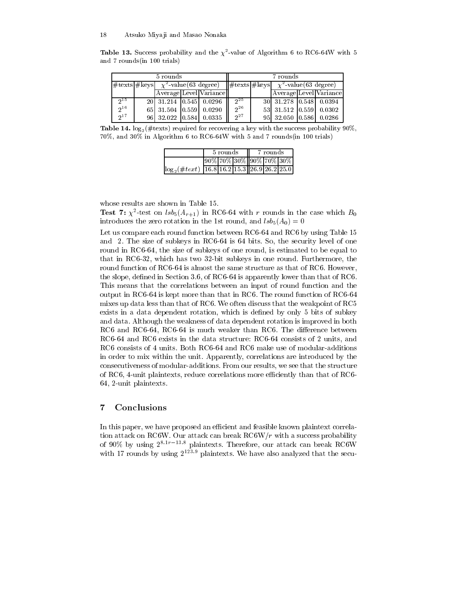| <b>Table 13.</b> Success probability and the $\chi^2$ -value of Algorithm 6 to RC6-64W with 5 |  |  |
|-----------------------------------------------------------------------------------------------|--|--|
| and 7 rounds (in 100 trials)                                                                  |  |  |

| 5 rounds |  |                                                   |  |                        | 7 rounds |  |                                                                               |  |                        |
|----------|--|---------------------------------------------------|--|------------------------|----------|--|-------------------------------------------------------------------------------|--|------------------------|
|          |  | $ \#$ texts $ \#$ keys $\chi^2$ -value(63 degree) |  |                        |          |  | $\ \# \text{text}  \# \text{keys} \ \chi^2 \text{-value} (63 \text{ degree})$ |  |                        |
|          |  |                                                   |  | Average Level Variance |          |  |                                                                               |  | Average Level Variance |
| $2^{15}$ |  | 20 31.214 0.545 0.0296                            |  |                        | $2^{25}$ |  | 30 31.278 0.548 0.0394                                                        |  |                        |
| $2^{16}$ |  | 65 31.504 0.559 0.0290                            |  |                        | $2^{26}$ |  | 53 31.512 0.559 0.0302                                                        |  |                        |
| $2^{17}$ |  | 96 32.022 0.584 0.0335                            |  |                        | $2^{27}$ |  | 95 32.050 0.586 0.0286                                                        |  |                        |

Table 14.  $\log_2(\# \text{text})$  required for recovering a key with the success probability 90%,  $70\%$ , and  $30\%$  in Algorithm 6 to RC6-64W with 5 and 7 rounds (in 100 trials)

|                                                      | 5 rounds |                                     | 7 rounds |  |  |  |
|------------------------------------------------------|----------|-------------------------------------|----------|--|--|--|
|                                                      |          | $[90\%]70\%]30\%$ $[90\%]70\%]30\%$ |          |  |  |  |
| $\log_2(\#text{text})$ 16.8 16.2 15.3 26.9 26.2 25.0 |          |                                     |          |  |  |  |

whose results are shown in Table 15.

**Test 7:**  $\chi^2$ -test on  $\text{lsb}_5(A_{r+1})$  in RC6-64 with r rounds in the case which  $B_0$ introduces the zero rotation in the 1st round, and  $lsb_5(A_0) = 0$ 

Let us compare each round function between RC6-64 and RC6 by using Table 15 and 2. The size of subkeys in RC6-64 is 64 bits. So, the security level of one round in RC6-64, the size of subkeys of one round, is estimated to be equal to that in RC6-32, which has two 32-bit subkeys in one round. Furthermore, the round function of RC6-64 is almost the same structure as that of RC6. However. the slope, defined in Section 3.6, of RC6-64 is apparently lower than that of RC6. This means that the correlations between an input of round function and the output in RC6-64 is kept more than that in RC6. The round function of RC6-64 mixes up data less than that of RC6. We often discuss that the weakpoint of RC5 exists in a data dependent rotation, which is defined by only 5 bits of subkey and data. Although the weakness of data dependent rotation is improved in both RC6 and RC6-64, RC6-64 is much weaker than RC6. The difference between RC6-64 and RC6 exists in the data structure: RC6-64 consists of 2 units, and RC6 consists of 4 units. Both RC6-64 and RC6 make use of modular-additions in order to mix within the unit. Apparently, correlations are introduced by the consecutiveness of modular-additions. From our results, we see that the structure of RC6, 4-unit plaintexts, reduce correlations more efficiently than that of RC6-64, 2-unit plaintexts.

#### $\overline{7}$ Conclusions

In this paper, we have proposed an efficient and feasible known plaintext correlation attack on RC6W. Our attack can break RC6W/ $r$  with a success probability of 90% by using  $2^{8.1r-13.8}$  plaintexts. Therefore, our attack can break RC6W with 17 rounds by using  $2^{123.9}$  plaintexts. We have also analyzed that the secu-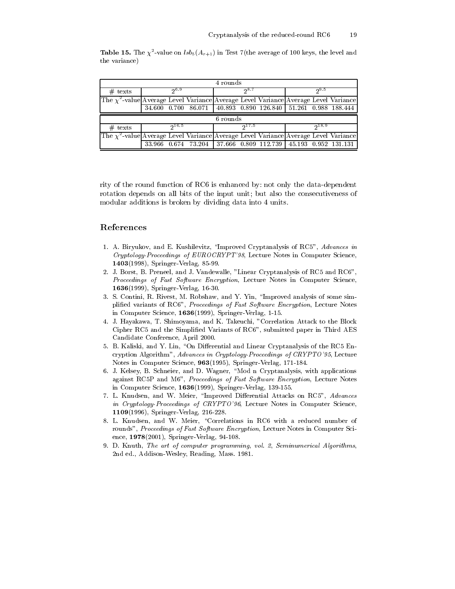**Table 15.** The  $\chi^2$ -value on  $lsb_5(A_{r+1})$  in Test 7(the average of 100 keys, the level and the variance)

| 4 rounds                                                                                 |       |              |  |          |       |                                                               |       |       |  |
|------------------------------------------------------------------------------------------|-------|--------------|--|----------|-------|---------------------------------------------------------------|-------|-------|--|
| $#$ texts                                                                                | -ენ.9 |              |  | ე ა. 7   |       |                                                               | ი 9.5 |       |  |
| The $\chi^2$ -value Average Level Variance Average Level Variance Average Level Variance |       |              |  |          |       |                                                               |       |       |  |
|                                                                                          |       |              |  |          |       | 34.600 0.700 86.071 40.893 0.890 126.840 51.261 0.988 188.444 |       |       |  |
|                                                                                          |       |              |  |          |       |                                                               |       |       |  |
|                                                                                          |       |              |  | 6 rounds |       |                                                               |       |       |  |
| $#$ texts                                                                                |       | <u>ე16.5</u> |  |          | 217.5 |                                                               |       | 218.9 |  |
| The $\chi^2$ -value Average Level Variance Average Level Variance Average Level Variance |       |              |  |          |       |                                                               |       |       |  |

rity of the round function of RC6 is enhanced by: not only the data-dependent rotation depends on all bits of the input unit; but also the consecutiveness of modular additions is broken by dividing data into 4 units.

## References

- 1. A. Biryukov, and E. Kushilevitz, "Improved Cryptanalysis of RC5", Advances in Cryptology-Proceedings of EUROCRYPT'98, Lecture Notes in Computer Science, 1403(1998), Springer-Verlag, 85-99.
- 2. J. Borst, B. Preneel, and J. Vandewalle, "Linear Cryptanalysis of RC5 and RC6". Proceedings of Fast Software Encryption, Lecture Notes in Computer Science, **1636**(1999), Springer-Verlag, 16-30.
- 3. S. Contini, R. Rivest, M. Robshaw, and Y. Yin, "Improved analysis of some simplified variants of RC6", Proceedings of Fast Software Encryption, Lecture Notes in Computer Science, 1636(1999), Springer-Verlag, 1-15.
- 4. J. Hayakawa, T. Shimoyama, and K. Takeuchi, "Correlation Attack to the Block Cipher RC5 and the Simplified Variants of RC6", submitted paper in Third AES Candidate Conference, April 2000.
- 5. B. Kaliski, and Y. Lin, "On Differential and Linear Cryptanalysis of the RC5 Encryption Algorithm", Advances in Cryptology-Proceedings of CRYPTO'95, Lecture Notes in Computer Science, 963(1995), Springer-Verlag, 171-184.
- 6. J. Kelsey, B. Schneier, and D. Wagner, "Mod n Cryptanalysis, with applications against RC5P and M6", Proceedings of Fast Software Encryption, Lecture Notes in Computer Science, 1636(1999), Springer-Verlag, 139-155.
- 7. L. Knudsen, and W. Meier, "Improved Differential Attacks on RC5", Advances in Cryptology-Proceedings of CRYPTO'96, Lecture Notes in Computer Science, 1109(1996), Springer-Verlag, 216-228.
- 8. L. Knudsen, and W. Meier, "Correlations in RC6 with a reduced number of rounds", Proceedings of Fast Software Encryption, Lecture Notes in Computer Science,  $1978(2001)$ , Springer-Verlag, 94-108.
- 9. D. Knuth, The art of computer programming, vol. 2, Seminumerical Algorithms, 2nd ed., Addison-Wesley, Reading, Mass. 1981.